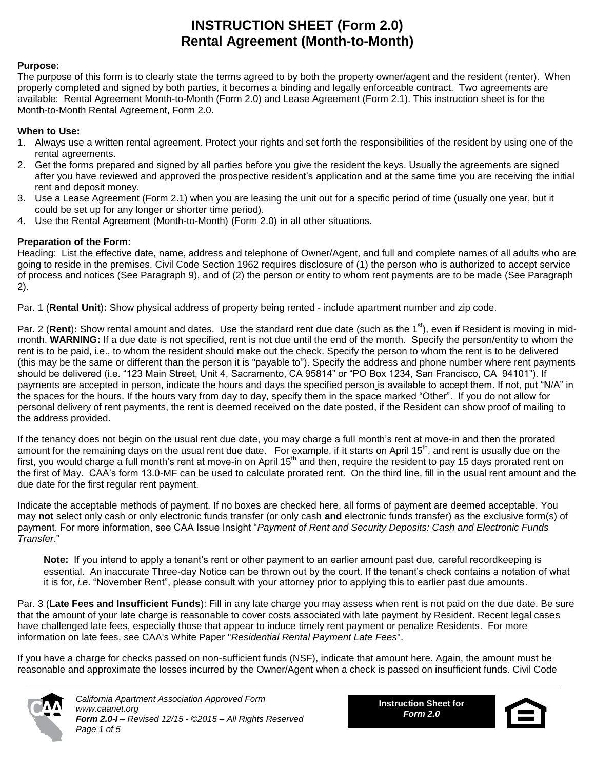# **INSTRUCTION SHEET (Form 2.0) Rental Agreement (Month-to-Month)**

#### **Purpose:**

The purpose of this form is to clearly state the terms agreed to by both the property owner/agent and the resident (renter). When properly completed and signed by both parties, it becomes a binding and legally enforceable contract. Two agreements are available: Rental Agreement Month-to-Month (Form 2.0) and Lease Agreement (Form 2.1). This instruction sheet is for the Month-to-Month Rental Agreement, Form 2.0.

#### **When to Use:**

- 1. Always use a written rental agreement. Protect your rights and set forth the responsibilities of the resident by using one of the rental agreements.
- 2. Get the forms prepared and signed by all parties before you give the resident the keys. Usually the agreements are signed after you have reviewed and approved the prospective resident's application and at the same time you are receiving the initial rent and deposit money.
- 3. Use a Lease Agreement (Form 2.1) when you are leasing the unit out for a specific period of time (usually one year, but it could be set up for any longer or shorter time period).
- 4. Use the Rental Agreement (Month-to-Month) (Form 2.0) in all other situations.

#### **Preparation of the Form:**

Heading: List the effective date, name, address and telephone of Owner/Agent, and full and complete names of all adults who are going to reside in the premises. Civil Code Section 1962 requires disclosure of (1) the person who is authorized to accept service of process and notices (See Paragraph 9), and of (2) the person or entity to whom rent payments are to be made (See Paragraph 2).

Par. 1 (**Rental Unit**)**:** Show physical address of property being rented - include apartment number and zip code.

Par. 2 (Rent): Show rental amount and dates. Use the standard rent due date (such as the 1<sup>st</sup>), even if Resident is moving in midmonth. **WARNING:** If a due date is not specified, rent is not due until the end of the month. Specify the person/entity to whom the rent is to be paid, i.e., to whom the resident should make out the check. Specify the person to whom the rent is to be delivered (this may be the same or different than the person it is "payable to"). Specify the address and phone number where rent payments should be delivered (i.e. "123 Main Street, Unit 4, Sacramento, CA 95814" or "PO Box 1234, San Francisco, CA 94101"). If payments are accepted in person, indicate the hours and days the specified person is available to accept them. If not, put "N/A" in the spaces for the hours. If the hours vary from day to day, specify them in the space marked "Other". If you do not allow for personal delivery of rent payments, the rent is deemed received on the date posted, if the Resident can show proof of mailing to the address provided.

If the tenancy does not begin on the usual rent due date, you may charge a full month's rent at move-in and then the prorated amount for the remaining days on the usual rent due date. For example, if it starts on April 15<sup>th</sup>, and rent is usually due on the first, you would charge a full month's rent at move-in on April 15<sup>th</sup> and then, require the resident to pay 15 days prorated rent on the first of May. CAA's form 13.0-MF can be used to calculate prorated rent. On the third line, fill in the usual rent amount and the due date for the first regular rent payment.

Indicate the acceptable methods of payment. If no boxes are checked here, all forms of payment are deemed acceptable. You may **not** select only cash or only electronic funds transfer (or only cash **and** electronic funds transfer) as the exclusive form(s) of payment. For more information, see CAA Issue Insight "*Payment of Rent and Security Deposits: Cash and Electronic Funds Transfer*."

**Note:** If you intend to apply a tenant's rent or other payment to an earlier amount past due, careful recordkeeping is essential. An inaccurate Three-day Notice can be thrown out by the court. If the tenant's check contains a notation of what it is for, *i.e*. "November Rent", please consult with your attorney prior to applying this to earlier past due amounts.

Par. 3 (**Late Fees and Insufficient Funds**): Fill in any late charge you may assess when rent is not paid on the due date. Be sure that the amount of your late charge is reasonable to cover costs associated with late payment by Resident. Recent legal cases have challenged late fees, especially those that appear to induce timely rent payment or penalize Residents. For more information on late fees, see CAA's White Paper "*Residential Rental Payment Late Fees*".

If you have a charge for checks passed on non-sufficient funds (NSF), indicate that amount here. Again, the amount must be reasonable and approximate the losses incurred by the Owner/Agent when a check is passed on insufficient funds. Civil Code



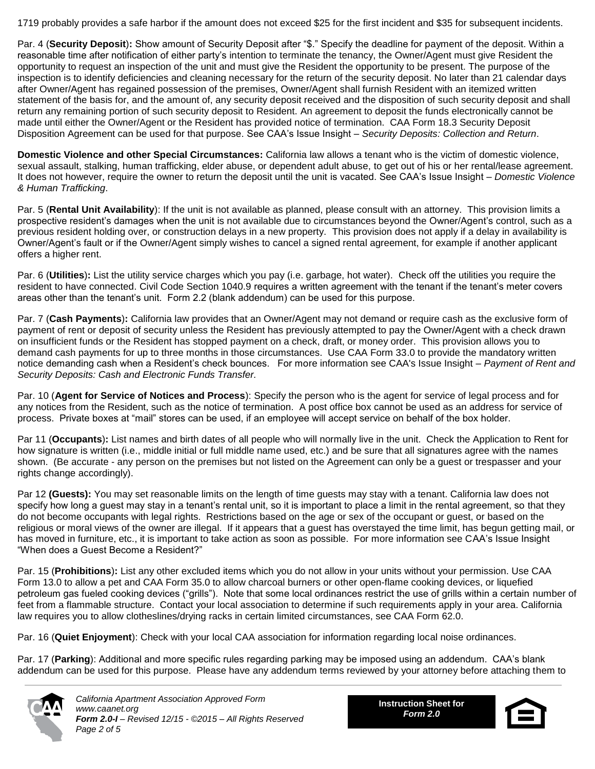1719 probably provides a safe harbor if the amount does not exceed \$25 for the first incident and \$35 for subsequent incidents.

Par. 4 (**Security Deposit**)**:** Show amount of Security Deposit after "\$." Specify the deadline for payment of the deposit. Within a reasonable time after notification of either party's intention to terminate the tenancy, the Owner/Agent must give Resident the opportunity to request an inspection of the unit and must give the Resident the opportunity to be present. The purpose of the inspection is to identify deficiencies and cleaning necessary for the return of the security deposit. No later than 21 calendar days after Owner/Agent has regained possession of the premises, Owner/Agent shall furnish Resident with an itemized written statement of the basis for, and the amount of, any security deposit received and the disposition of such security deposit and shall return any remaining portion of such security deposit to Resident. An agreement to deposit the funds electronically cannot be made until either the Owner/Agent or the Resident has provided notice of termination. CAA Form 18.3 Security Deposit Disposition Agreement can be used for that purpose. See CAA's Issue Insight – *Security Deposits: Collection and Return*.

**Domestic Violence and other Special Circumstances:** California law allows a tenant who is the victim of domestic violence, sexual assault, stalking, human trafficking, elder abuse, or dependent adult abuse, to get out of his or her rental/lease agreement. It does not however, require the owner to return the deposit until the unit is vacated. See CAA's Issue Insight – *Domestic Violence & Human Trafficking*.

Par. 5 (**Rental Unit Availability**): If the unit is not available as planned, please consult with an attorney. This provision limits a prospective resident's damages when the unit is not available due to circumstances beyond the Owner/Agent's control, such as a previous resident holding over, or construction delays in a new property. This provision does not apply if a delay in availability is Owner/Agent's fault or if the Owner/Agent simply wishes to cancel a signed rental agreement, for example if another applicant offers a higher rent.

Par. 6 (**Utilities**)**:** List the utility service charges which you pay (i.e. garbage, hot water). Check off the utilities you require the resident to have connected. Civil Code Section 1040.9 requires a written agreement with the tenant if the tenant's meter covers areas other than the tenant's unit. Form 2.2 (blank addendum) can be used for this purpose.

Par. 7 (**Cash Payments**)**:** California law provides that an Owner/Agent may not demand or require cash as the exclusive form of payment of rent or deposit of security unless the Resident has previously attempted to pay the Owner/Agent with a check drawn on insufficient funds or the Resident has stopped payment on a check, draft, or money order. This provision allows you to demand cash payments for up to three months in those circumstances. Use CAA Form 33.0 to provide the mandatory written notice demanding cash when a Resident's check bounces. For more information see CAA's Issue Insight – *Payment of Rent and Security Deposits: Cash and Electronic Funds Transfer.*

Par. 10 (**Agent for Service of Notices and Process**): Specify the person who is the agent for service of legal process and for any notices from the Resident, such as the notice of termination. A post office box cannot be used as an address for service of process. Private boxes at "mail" stores can be used, if an employee will accept service on behalf of the box holder.

Par 11 (**Occupants**)**:** List names and birth dates of all people who will normally live in the unit. Check the Application to Rent for how signature is written (i.e., middle initial or full middle name used, etc.) and be sure that all signatures agree with the names shown. (Be accurate - any person on the premises but not listed on the Agreement can only be a guest or trespasser and your rights change accordingly).

Par 12 **(Guests):** You may set reasonable limits on the length of time guests may stay with a tenant. California law does not specify how long a guest may stay in a tenant's rental unit, so it is important to place a limit in the rental agreement, so that they do not become occupants with legal rights. Restrictions based on the age or sex of the occupant or guest, or based on the religious or moral views of the owner are illegal. If it appears that a guest has overstayed the time limit, has begun getting mail, or has moved in furniture, etc., it is important to take action as soon as possible. For more information see CAA's Issue Insight "When does a Guest Become a Resident?"

Par. 15 (**Prohibitions**)**:** List any other excluded items which you do not allow in your units without your permission. Use CAA Form 13.0 to allow a pet and CAA Form 35.0 to allow charcoal burners or other open-flame cooking devices, or liquefied petroleum gas fueled cooking devices ("grills"). Note that some local ordinances restrict the use of grills within a certain number of feet from a flammable structure. Contact your local association to determine if such requirements apply in your area. California law requires you to allow clotheslines/drying racks in certain limited circumstances, see CAA Form 62.0.

Par. 16 (**Quiet Enjoyment**): Check with your local CAA association for information regarding local noise ordinances.

Par. 17 (**Parking**): Additional and more specific rules regarding parking may be imposed using an addendum. CAA's blank addendum can be used for this purpose. Please have any addendum terms reviewed by your attorney before attaching them to



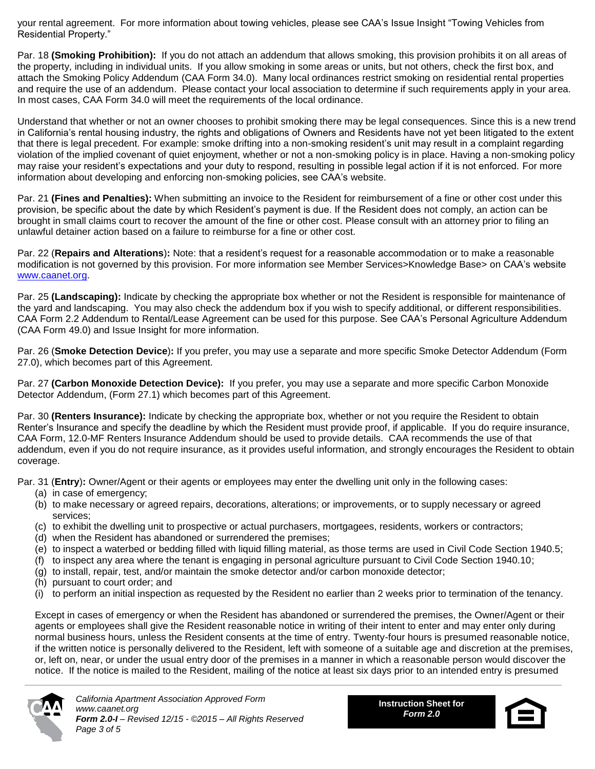your rental agreement. For more information about towing vehicles, please see CAA's Issue Insight "Towing Vehicles from Residential Property."

Par. 18 **(Smoking Prohibition):** If you do not attach an addendum that allows smoking, this provision prohibits it on all areas of the property, including in individual units. If you allow smoking in some areas or units, but not others, check the first box, and attach the Smoking Policy Addendum (CAA Form 34.0). Many local ordinances restrict smoking on residential rental properties and require the use of an addendum. Please contact your local association to determine if such requirements apply in your area. In most cases, CAA Form 34.0 will meet the requirements of the local ordinance.

Understand that whether or not an owner chooses to prohibit smoking there may be legal consequences. Since this is a new trend in California's rental housing industry, the rights and obligations of Owners and Residents have not yet been litigated to the extent that there is legal precedent. For example: smoke drifting into a non-smoking resident's unit may result in a complaint regarding violation of the implied covenant of quiet enjoyment, whether or not a non-smoking policy is in place. Having a non-smoking policy may raise your resident's expectations and your duty to respond, resulting in possible legal action if it is not enforced. For more information about developing and enforcing non-smoking policies, see CAA's website.

Par. 21 **(Fines and Penalties):** When submitting an invoice to the Resident for reimbursement of a fine or other cost under this provision, be specific about the date by which Resident's payment is due. If the Resident does not comply, an action can be brought in small claims court to recover the amount of the fine or other cost. Please consult with an attorney prior to filing an unlawful detainer action based on a failure to reimburse for a fine or other cost.

Par. 22 (**Repairs and Alterations**)**:** Note: that a resident's request for a reasonable accommodation or to make a reasonable modification is not governed by this provision. For more information see Member Services>Knowledge Base> on CAA's website [www.caanet.org.](http://www.caanet.org/)

Par. 25 **(Landscaping):** Indicate by checking the appropriate box whether or not the Resident is responsible for maintenance of the yard and landscaping. You may also check the addendum box if you wish to specify additional, or different responsibilities. CAA Form 2.2 Addendum to Rental/Lease Agreement can be used for this purpose. See CAA's Personal Agriculture Addendum (CAA Form 49.0) and Issue Insight for more information.

Par. 26 (**Smoke Detection Device**)**:** If you prefer, you may use a separate and more specific Smoke Detector Addendum (Form 27.0), which becomes part of this Agreement.

Par. 27 **(Carbon Monoxide Detection Device):** If you prefer, you may use a separate and more specific Carbon Monoxide Detector Addendum, (Form 27.1) which becomes part of this Agreement.

Par. 30 **(Renters Insurance):** Indicate by checking the appropriate box, whether or not you require the Resident to obtain Renter's Insurance and specify the deadline by which the Resident must provide proof, if applicable. If you do require insurance, CAA Form, 12.0-MF Renters Insurance Addendum should be used to provide details. CAA recommends the use of that addendum, even if you do not require insurance, as it provides useful information, and strongly encourages the Resident to obtain coverage.

Par. 31 (**Entry**)**:** Owner/Agent or their agents or employees may enter the dwelling unit only in the following cases:

- (a) in case of emergency;
- (b) to make necessary or agreed repairs, decorations, alterations; or improvements, or to supply necessary or agreed services;
- (c) to exhibit the dwelling unit to prospective or actual purchasers, mortgagees, residents, workers or contractors;
- (d) when the Resident has abandoned or surrendered the premises;
- (e) to inspect a waterbed or bedding filled with liquid filling material, as those terms are used in Civil Code Section 1940.5;
- (f) to inspect any area where the tenant is engaging in personal agriculture pursuant to Civil Code Section 1940.10;
- (g) to install, repair, test, and/or maintain the smoke detector and/or carbon monoxide detector;
- (h) pursuant to court order; and
- (i) to perform an initial inspection as requested by the Resident no earlier than 2 weeks prior to termination of the tenancy.

Except in cases of emergency or when the Resident has abandoned or surrendered the premises, the Owner/Agent or their agents or employees shall give the Resident reasonable notice in writing of their intent to enter and may enter only during normal business hours, unless the Resident consents at the time of entry. Twenty-four hours is presumed reasonable notice, if the written notice is personally delivered to the Resident, left with someone of a suitable age and discretion at the premises, or, left on, near, or under the usual entry door of the premises in a manner in which a reasonable person would discover the notice. If the notice is mailed to the Resident, mailing of the notice at least six days prior to an intended entry is presumed



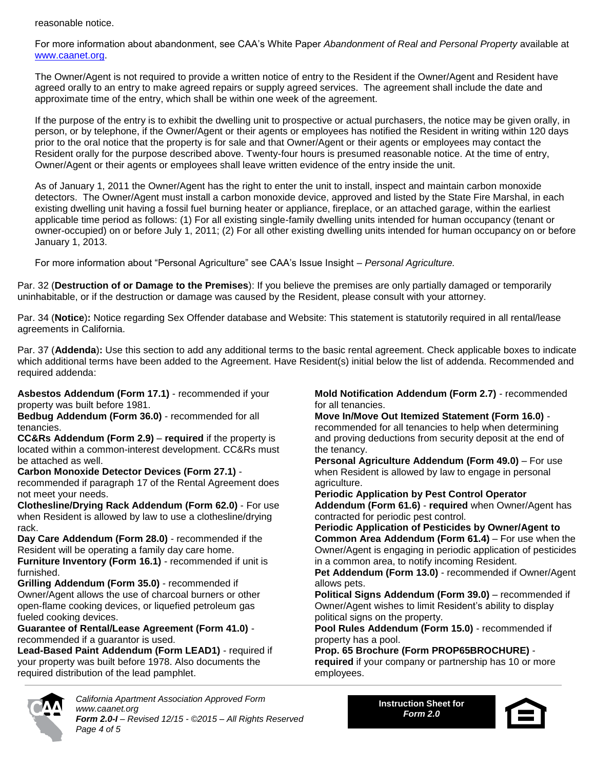reasonable notice.

For more information about abandonment, see CAA's White Paper *Abandonment of Real and Personal Property* available at [www.caanet.org.](http://www.caanet.org/)

The Owner/Agent is not required to provide a written notice of entry to the Resident if the Owner/Agent and Resident have agreed orally to an entry to make agreed repairs or supply agreed services. The agreement shall include the date and approximate time of the entry, which shall be within one week of the agreement.

If the purpose of the entry is to exhibit the dwelling unit to prospective or actual purchasers, the notice may be given orally, in person, or by telephone, if the Owner/Agent or their agents or employees has notified the Resident in writing within 120 days prior to the oral notice that the property is for sale and that Owner/Agent or their agents or employees may contact the Resident orally for the purpose described above. Twenty-four hours is presumed reasonable notice. At the time of entry, Owner/Agent or their agents or employees shall leave written evidence of the entry inside the unit.

As of January 1, 2011 the Owner/Agent has the right to enter the unit to install, inspect and maintain carbon monoxide detectors. The Owner/Agent must install a carbon monoxide device, approved and listed by the State Fire Marshal, in each existing dwelling unit having a fossil fuel burning heater or appliance, fireplace, or an attached garage, within the earliest applicable time period as follows: (1) For all existing single-family dwelling units intended for human occupancy (tenant or owner-occupied) on or before July 1, 2011; (2) For all other existing dwelling units intended for human occupancy on or before January 1, 2013.

For more information about "Personal Agriculture" see CAA's Issue Insight – *Personal Agriculture.*

Par. 32 (**Destruction of or Damage to the Premises**): If you believe the premises are only partially damaged or temporarily uninhabitable, or if the destruction or damage was caused by the Resident, please consult with your attorney.

Par. 34 (**Notice**)**:** Notice regarding Sex Offender database and Website: This statement is statutorily required in all rental/lease agreements in California.

Par. 37 (**Addenda**)**:** Use this section to add any additional terms to the basic rental agreement. Check applicable boxes to indicate which additional terms have been added to the Agreement. Have Resident(s) initial below the list of addenda. Recommended and required addenda:

**Asbestos Addendum (Form 17.1)** - recommended if your property was built before 1981.

**Bedbug Addendum (Form 36.0)** - recommended for all tenancies.

**CC&Rs Addendum (Form 2.9)** – **required** if the property is located within a common-interest development. CC&Rs must be attached as well.

#### **Carbon Monoxide Detector Devices (Form 27.1)** -

recommended if paragraph 17 of the Rental Agreement does not meet your needs.

**Clothesline/Drying Rack Addendum (Form 62.0)** - For use when Resident is allowed by law to use a clothesline/drying rack.

**Day Care Addendum (Form 28.0)** - recommended if the Resident will be operating a family day care home. **Furniture Inventory (Form 16.1)** - recommended if unit is

furnished. **Grilling Addendum (Form 35.0)** - recommended if Owner/Agent allows the use of charcoal burners or other open-flame cooking devices, or liquefied petroleum gas fueled cooking devices.

#### **Guarantee of Rental/Lease Agreement (Form 41.0)** recommended if a guarantor is used.

**Lead-Based Paint Addendum (Form LEAD1)** - required if your property was built before 1978. Also documents the required distribution of the lead pamphlet.

**Mold Notification Addendum (Form 2.7)** - recommended for all tenancies.

**Move In/Move Out Itemized Statement (Form 16.0)** recommended for all tenancies to help when determining and proving deductions from security deposit at the end of the tenancy.

**Personal Agriculture Addendum (Form 49.0)** – For use when Resident is allowed by law to engage in personal agriculture.

**Periodic Application by Pest Control Operator Addendum (Form 61.6)** - **required** when Owner/Agent has contracted for periodic pest control.

**Periodic Application of Pesticides by Owner/Agent to Common Area Addendum (Form 61.4)** – For use when the Owner/Agent is engaging in periodic application of pesticides in a common area, to notify incoming Resident.

**Pet Addendum (Form 13.0)** - recommended if Owner/Agent allows pets.

**Political Signs Addendum (Form 39.0)** – recommended if Owner/Agent wishes to limit Resident's ability to display political signs on the property.

**Pool Rules Addendum (Form 15.0)** - recommended if property has a pool.

**Prop. 65 Brochure (Form PROP65BROCHURE) required** if your company or partnership has 10 or more employees.



*California Apartment Association Approved Form www.caanet.org Form 2.0-I – Revised 12/15 - ©2015 – All Rights Reserved Page 4 of 5*

**Instruction Sheet for** *Form 2.0*